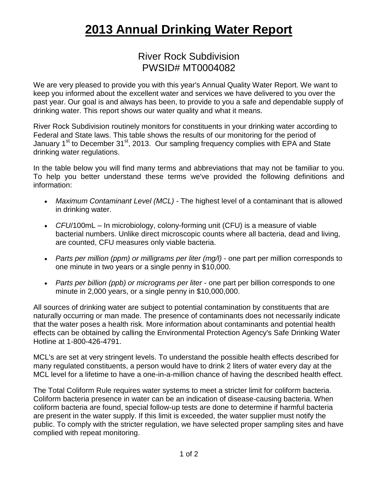## **2013 Annual Drinking Water Report**

## River Rock Subdivision PWSID# MT0004082

We are very pleased to provide you with this year's Annual Quality Water Report. We want to keep you informed about the excellent water and services we have delivered to you over the past year. Our goal is and always has been, to provide to you a safe and dependable supply of drinking water. This report shows our water quality and what it means.

River Rock Subdivision routinely monitors for constituents in your drinking water according to Federal and State laws. This table shows the results of our monitoring for the period of January 1<sup>st</sup> to December 31<sup>st</sup>, 2013. Our sampling frequency complies with EPA and State drinking water regulations.

In the table below you will find many terms and abbreviations that may not be familiar to you. To help you better understand these terms we've provided the following definitions and information:

- *Maximum Contaminant Level (MCL) -* The highest level of a contaminant that is allowed in drinking water.
- *CFU*/100mL In microbiology, colony-forming unit (CFU) is a measure of viable bacterial numbers. Unlike direct microscopic counts where all bacteria, dead and living, are counted, CFU measures only viable bacteria.
- *Parts per million (ppm) or milligrams per liter (mg/l)* one part per million corresponds to one minute in two years or a single penny in \$10,000.
- *Parts per billion (ppb) or micrograms per liter* one part per billion corresponds to one minute in 2,000 years, or a single penny in \$10,000,000.

All sources of drinking water are subject to potential contamination by constituents that are naturally occurring or man made. The presence of contaminants does not necessarily indicate that the water poses a health risk. More information about contaminants and potential health effects can be obtained by calling the Environmental Protection Agency's Safe Drinking Water Hotline at 1-800-426-4791.

MCL's are set at very stringent levels. To understand the possible health effects described for many regulated constituents, a person would have to drink 2 liters of water every day at the MCL level for a lifetime to have a one-in-a-million chance of having the described health effect.

The Total Coliform Rule requires water systems to meet a stricter limit for coliform bacteria. Coliform bacteria presence in water can be an indication of disease-causing bacteria. When coliform bacteria are found, special follow-up tests are done to determine if harmful bacteria are present in the water supply. If this limit is exceeded, the water supplier must notify the public. To comply with the stricter regulation, we have selected proper sampling sites and have complied with repeat monitoring.